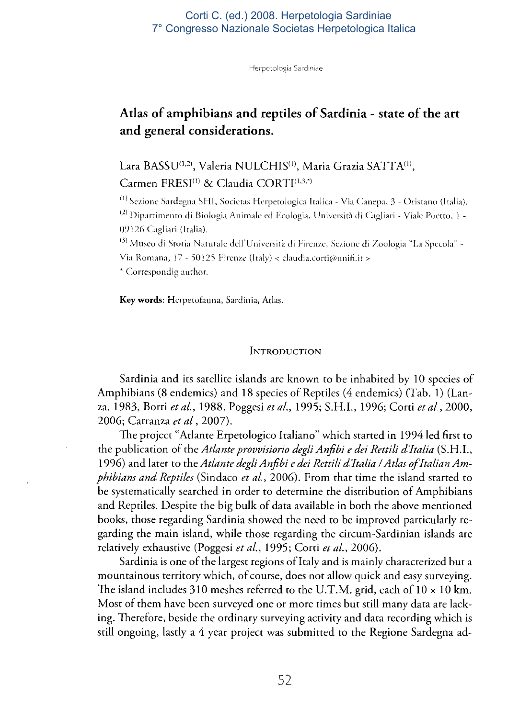### Corti C. (ed.) 2008. Herpetologia Sardiniae 7° Congresso Nazionale Societas Herpetologica Italica

Herpetologia Sardiniae

# **Atlas of amphibians and reptiles of Sardinia - state of the art and general considerations.**

Lara BASSU(1,2), Valeria NULCHIS(1), Maria Grazia SATTA(1),  $C$ armen  $\text{FRESI}^{(1)}$  & Claudia  $\text{CORTI}^{(1,3,*)}$ 

Sezione Sardegna SHI, Societas Herpetologiea Italica - Via Canepa, 3 - Oristano (Italia). <sup>(2)</sup> Dipartimento di Biologia Animale ed Ecologia, Università di Cagliari - Viale Poetto, 1 -09126 Cagliari (Italia).

Museo di Storia Naturale dell'Università di Firenze, Sezione di Zoologia "La Specola" - Via Romana, 17 - 50125 Firenze (Italy) < claudia.corti@unifi.it >

' Correspondig author.

**Key words:** Herpetofauna, Sardinia, Atlas.

#### **INTRODUCTION**

Sardinia and its satellite islands are known to be inhabited by 10 species of Amphibians (8 endemics) and 18 species of Reptiles (4 endemics) (Tab. 1) (Lanza, 1983, Borri *et al.,* 1988, Poggesi *et al.,* 1995; S.H.I., 1996; Corti *et al,* 2000, 2006; Carranza *et al,* 2007).

The project "Atlante Erpetologico Italiano" which started in 1994 led first to the publication of *the Atlante provvisiono degli Anfibi e dei Rettili d'Italia* (S.H.I., 1996) and later to the *Atlante degli Anfibi e dei Rettili d'Italia I Atlas of Italian Amphibians and Reptiles* (Sindaco *et al,* 2006). From that time the island started to be systematically searched in order to determine the distribution of Amphibians and Reptiles. Despite the big bulk of data available in both the above mentioned books, those regarding Sardinia showed the need to be improved particularly regarding the main island, while those regarding the circum-Sardinian islands are relatively exhaustive (Poggesi *et al.,* 1995; Corti *et al.,* 2006).

Sardinia is one of the largest regions of Italy and is mainly characterized but a mountainous territory which, of course, does not allow quick and easy surveying. The island includes 310 meshes referred to the U.T.M. grid, each of  $10 \times 10$  km. Most of them have been surveyed one or more times but still many data are lacking. Therefore, beside the ordinary surveying activity and data recording which is still ongoing, lastly a 4 year project was submitted to the Regione Sardegna ad-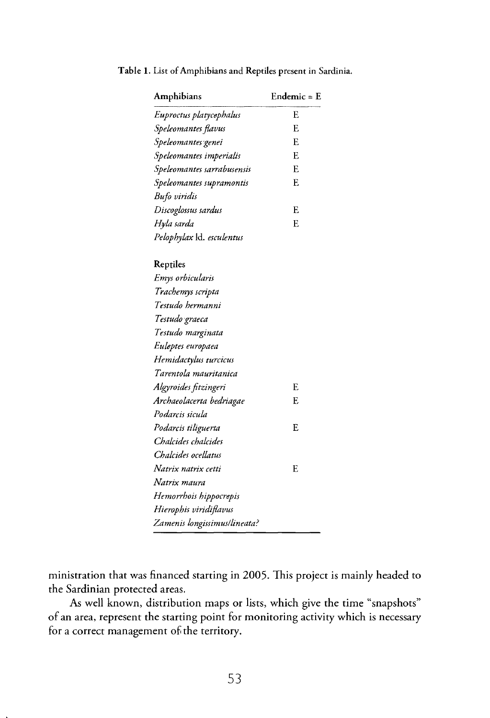| Amphibians                   | Endemic = $E$ |
|------------------------------|---------------|
| Euproctus platycephalus      | E             |
| Speleomantes flavus          | F.            |
| Speleomantes genei           | F.            |
| Speleomantes imperialis      | E             |
| Speleomantes sarrabusensis   | E             |
| Speleomantes supramontis     | E             |
| Bufo viridis                 |               |
| Discoglossus sardus          | E             |
| Hyla sarda                   | F.            |
| Pelophylax Id. esculentus    |               |
| Reptiles                     |               |
| Emys orbicularis             |               |
| Trachemys scripta            |               |
| Testudo hermanni             |               |
| Testudo graeca               |               |
| Testudo marginata            |               |
| Euleptes europaea            |               |
| Hemidactylus turcicus        |               |
| Tarentola mauritanica        |               |
| Algyroides fitzingeri        | F.            |
| Archaeolacerta bedriagae     | F.            |
| Podarcis sicula              |               |
| Podarcis tiliguerta          | E.            |
| Chalcides chalcides          |               |
| Chalcides ocellatus          |               |
| Natrix natrix cetti          | E             |
| Natrix maura                 |               |
| Hemorrhois hippocrepis       |               |
| Hierophis viridiflavus       |               |
| Zamenis longissimus/lineata? |               |

**Table 1.** List of Amphibians and Reptiles present in Sardinia.

ministration that was financed starting in 2005. This project is mainly headed to the Sardinian protected areas.

As well known, distribution maps or lists, which give the time "snapshots" of an area, represent the starting point for monitoring activity which is necessary for a correct management of the territory.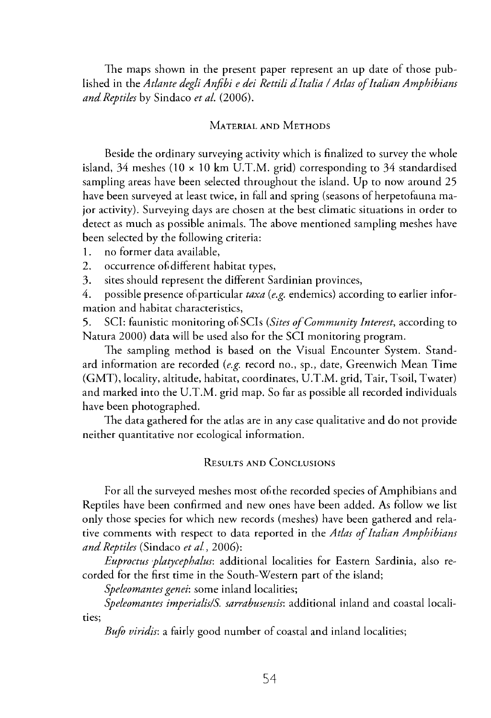The maps shown in the present paper represent an up date of those published in the *Atlante degli Anfibi e dei Rettili d'Italia I Atlas of Italian Amphibians and Reptiles* by Sindaco *et al.* (2006).

## **MATERIAL AND METHODS**

Beside the ordinary surveying activity which is finalized to survey the whole island, 34 meshes (10  $\times$  10 km U.T.M. grid) corresponding to 34 standardised sampling areas have been selected throughout the island. Up to now around 25 have been surveyed at least twice, in fall and spring (seasons of herpetofauna major activity). Surveying days are chosen at the best climatic situations in order to detect as much as possible animals. The above mentioned sampling meshes have been selected by the following criteria:

- 1. no former data available,
- 2. occurrence of different habitat types,
- 3. sites should represent the different Sardinian provinces,

4. possible presence of particular taxa (e.g. endemics) according to earlier information and habitat characteristics,

5. SCI: faunistic monitoring of SCIs *(Sites of Community Interest,* according to Natura 2000) data will be used also for the SCI monitoring program.

The sampling method is based on the Visual Encounter System. Standard information are recorded *{e.g.* record no., sp., date, Greenwich Mean Time (GMT), locality, altitude, habitat, coordinates, U.T.M . grid, Tair, Tsoil, Twater) and marked into the U.T.M . grid map. So far as possible all recorded individuals have been photographed.

The data gathered for the atlas are in any case qualitative and do not provide neither quantitative nor ecological information.

### **RESULTS AND CONCLUSIONS**

For all the surveyed meshes most of the recorded species of Amphibians and Reptiles have been confirmed and new ones have been added. As follow we list only those species for which new records (meshes) have been gathered and relative comments with respect to data reported in the *Atlas of Italian Amphibians and Reptiles* (Sindaco *et al,* 2006):

*Euproctus platycephalus:* additional localities for Eastern Sardinia, also recorded for the first time in the South-Western part of the island;

*Speleomantes genei:* some inland localities;

*Speleomantes imperialislS. sarrabusensis:* additional inland and coastal localities;

*Bufo viridis:* a fairly good number of coastal and inland localities;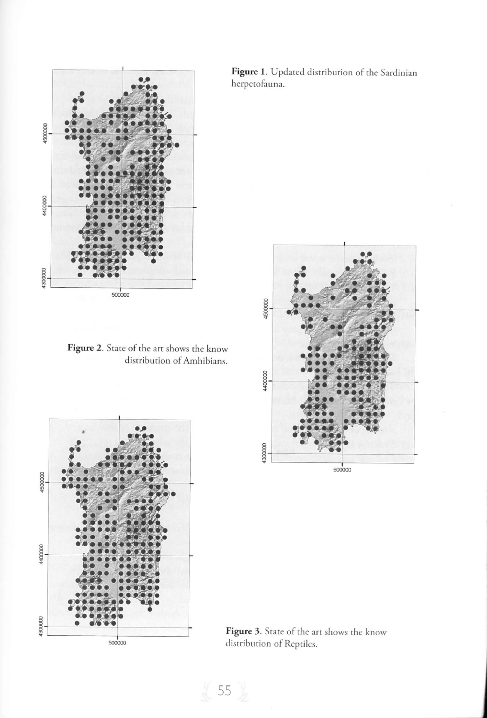

Figure **2.** State of the art shows the distribution of Amhi know bians.



Figure 1. Updated distribution of the Sardinian herpetofauna.



Figure 3. State of the art shows the know distribution of Reptiles.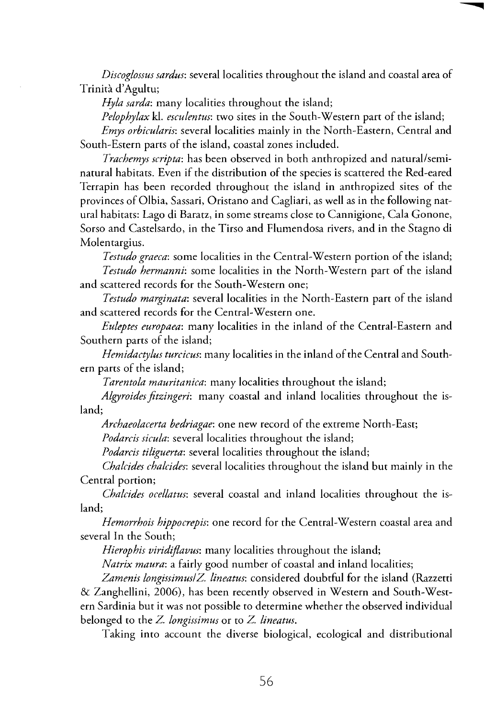*Discoglossus sardus:* several localities throughout the island and coastal area of Trinità d'Agultu;

*Hyla sarda:* many localities throughout the island;

*Pelophylax* kl. *esculentus:* two sites in the South-Western part of the island;

*Emys orbicularis:* several localities mainly in the North-Eastern, Central and South-Estern parts of the island, coastal zones included.

*Trachemys scripta:* has been observed in both anthropized and natural/seminatural habitats. Even if the distribution of the species is scattered the Red-eared Terrapin has been recorded throughout the island in anthropized sites of the provinces of Olbia, Sassari, Oristano and Cagliari, as well as in the following natural habitats: Lago di Baratz, in some streams close to Cannigione, Cala Gonone, Sorso and Castelsardo, in the Tirso and Flumendosa rivers, and in the Stagno di Molentargius.

*Testudo graeca:* some localities in the Central-Western portion of the island; *Testudo hermanni:* some localities in the North-Western part of the island and scattered records for the South-Western one;

*Testudo marginata:* several localities in the North-Eastern part of the island and scattered records for the Central-Western one.

*Euleptes europaea:* many localities in the inland of the Central-Eastern and Southern parts of the island;

*Hemidactylus turcicus:* many localities in the inland of the Central and Southern parts of the island;

*Tarentola mauritanica:* many localities throughout the island;

*Algyroidesfitzingeri:* many coastal and inland localities throughout the island;

*Archaeolacerta bedriagae:* one new record of the extreme North-East;

*Podarcis sicula:* several localities throughout the island;

*Podarcis tiliguerta:* several localities throughout the island;

*Chalcides chalcides:* several localities throughout the island but mainly in the Central portion;

*Chalcides ocellatus:* several coastal and inland localities throughout the island;

*Hemorrhois hippocrepis:* one record for the Central-Western coastal area and several In the South;

*Hierophis viridiflavus:* many localities throughout the island;

*Natrix maura:* a fairly good number of coastal and inland localities;

*Zamenis longissimuslZ. lineatus:* considered doubtful for the island (Razzetti & Zanghellini, 2006), has been recently observed in Western and South-Western Sardinia but it was not possible to determine whether the observed individual belonged to the *Z. longissimus* or to *Z. lineatus.* 

Taking into account the diverse biological, ecological and distributional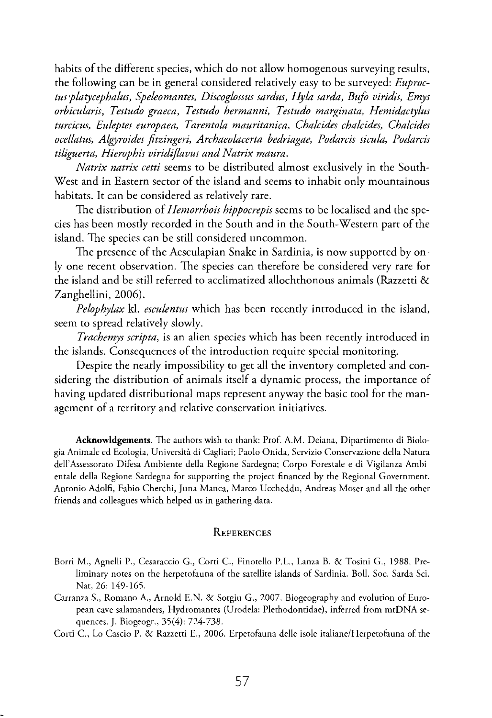habits of the different species, which do not allow homogenous surveying results, the following can be in general considered relatively easy to be surveyed: *Euproctus platycephalus, Speleomantes, Discoglossus sardus, Hyla sarda, Bufo viridis, Emys orbicularis, Testudo graeca, Testudo hermanni, Testudo marginata, Hemidactylus turcicus, Euleptes europaea, Tarentola mauritanica, Chalcides chalcides, Chalcides ocellatus, Algyroides fitzingeri, Archaeolacerta bedriagae, Podarcis sicula, Podarcis tiliguerta, Hierophis viridiflavus and Natrix maura.* 

*Natrix natrix cetti* seems to be distributed almost exclusively in the South-West and in Eastern sector of the island and seems to inhabit only mountainous habitats. It can be considered as relatively rare.

The distribution of *Hemorrhois hippocrepis* seems to be localised and the species has been mostly recorded in the South and in the South-Western part of the island. The species can be still considered uncommon.

The presence of the Aesculapian Snake in Sardinia, is now supported by only one recent observation. The species can therefore be considered very rare for the island and be still referred to acclimatized allochthonous animals (Razzetti & Zanghellini, 2006).

*Pelophylax* kl. *esculentus* which has been recently introduced in the island, seem to spread relatively slowly.

*Trachemys scripta,* is an alien species which has been recently introduced in the islands. Consequences of the introduction require special monitoring.

Despite the nearly impossibility to get all the inventory completed and considering the distribution of animals itself a dynamic process, the importance of having updated distributional maps represent anyway the basic tool for the management of a territory and relative conservation initiatives.

**Acknowldgements.** The authors wish to thank: Prof. A.M. Deiana, Dipartimento di Biologia Animale ed Ecologia, Università di Cagliari; Paolo Onida, Servizio Conservazione della Natura dell'Assessorato Difesa Ambiente della Regione Sardegna; Corpo Forestale e di Vigilanza Ambientale della Regione Sardegna for supporting the project financed by the Regional Government. Antonio Adolfi, Fabio Cherchi, Juna Manca, Marco Uccheddu, Andreas Moser and all the other friends and colleagues which helped us in gathering data.

#### **REFERENCES**

- Borri M. , Agnelli P., Cesaraccio G., Corti C, Finotello P.L., Lanza B. & Tosini G., 1988. Preliminary notes on the herpetofauna of the satellite islands of Sardinia. Boll. Soc. Sarda Sci. Nat, 26: 149-165.
- Carranza S., Romano A., Arnold E.N. & Sotgiu G., 2007. Biogeography and evolution of European cave salamanders, Hydromantes (Urodela: Plethodontidae), inferred from mtDNA sequences. J. Biogeogr., 35(4): 724-738.

Corti C, Lo Cascio P. & Razzetti E., 2006. Erpetofauna delle isole italiane/Herpetorauna of the